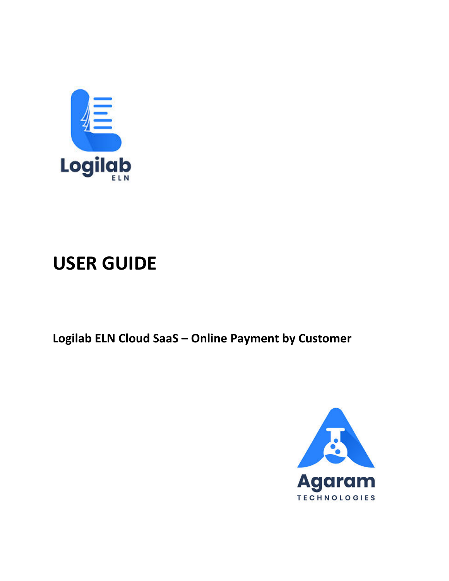

# **USER GUIDE**

**Logilab ELN Cloud SaaS – Online Payment by Customer**

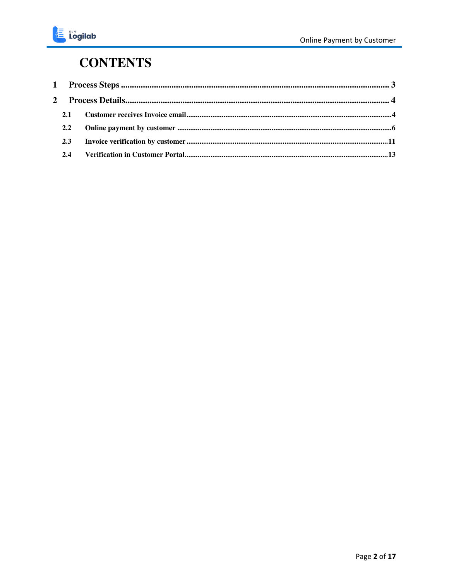#### **CONTENTS**

| 2.1 |  |
|-----|--|
| 2.2 |  |
| 2.3 |  |
| 2.4 |  |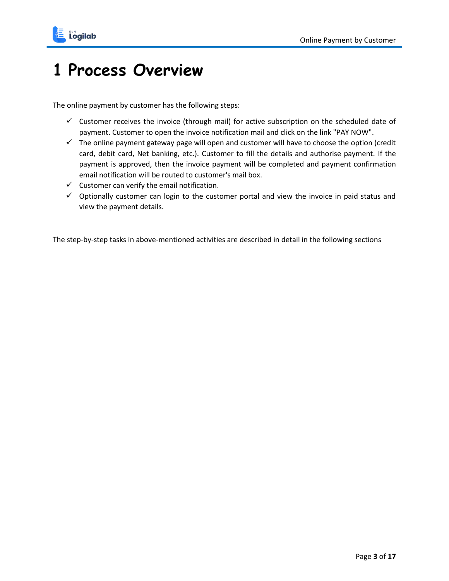

### <span id="page-2-0"></span>**1 Process Overview**

The online payment by customer has the following steps:

- $\checkmark$  Customer receives the invoice (through mail) for active subscription on the scheduled date of payment. Customer to open the invoice notification mail and click on the link "PAY NOW".
- $\checkmark$  The online payment gateway page will open and customer will have to choose the option (credit card, debit card, Net banking, etc.). Customer to fill the details and authorise payment. If the payment is approved, then the invoice payment will be completed and payment confirmation email notification will be routed to customer's mail box.
- $\checkmark$  Customer can verify the email notification.
- $\checkmark$  Optionally customer can login to the customer portal and view the invoice in paid status and view the payment details.

The step-by-step tasks in above-mentioned activities are described in detail in the following sections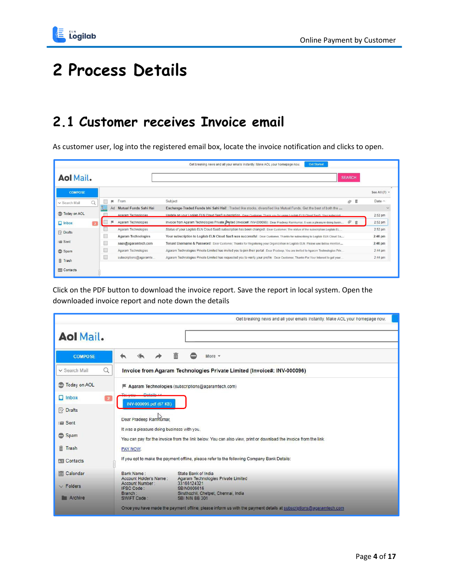

## <span id="page-3-0"></span>**2 Process Details**

#### <span id="page-3-1"></span>**2.1 Customer receives Invoice email**

As customer user, log into the registered email box, locate the invoice notification and clicks to open.

|                     |   |                            | <b>Get Started</b><br>Get breaking news and all your emails instantly. Make AOL your homepage now.                                        |                   |
|---------------------|---|----------------------------|-------------------------------------------------------------------------------------------------------------------------------------------|-------------------|
| <b>Aol Mail.</b>    |   |                            | <b>SEARCH</b>                                                                                                                             |                   |
| <b>COMPOSE</b>      |   |                            |                                                                                                                                           | See All $(7)$ $*$ |
| v Search Mail       | Q | From<br>٠                  | Subject<br>面<br>$\otimes$                                                                                                                 | Date $\wedge$     |
|                     |   | Ad Mutual Funds Sahi Hai   | Exchange-Traded Funds bhi Sahi Hai!: Traded like stocks, diversified like Mutual Funds. Get the best of both the                          | $\checkmark$      |
| <b>Today on AOL</b> |   | Agaram Technologies        | Undate on your Logilab ELN Cloud SaaS subscription : Dear Customer, Thank you for using Logilab ELN Cloud SaaS, Your subscripti-          | 2:52 pm           |
| $\Box$ Inbox        |   | Agaram Technologies<br>в   | Invoice from Agaram Technologies Private [Impited (Invoice#: INV-000096) : Dear Pradeep Ramkumar, It was a pleasure doing busin<br>Ô<br>而 | 2:52 pm           |
| $\mathbb{R}$ Drafts |   | Agaram Technologies        | Status of your Logilab ELN Cloud SaaS subscription has been changed : Dear Customer, The status of the subscription Logilab EL            | $2:52$ pm         |
|                     |   | <b>Agaram Technologies</b> | Your subscription to Logilab ELN Cloud SaaS was successful : Dear Customer. Thanks for subscribing to Logilab ELN Cloud Sa                | $2:46$ pm         |
| Fill Sent           |   | saas@agaramtech.com        | Tenant Username & Password : Dear Customer, Thanks for Registering your Organization in Logilab ELN. Please use below mention             | $2:46$ pm         |
| Spam                |   | Agaram Technologies        | Agaram Technologies Private Limited has invited you to join their portal : Dear Pradeep, You are invited to Agaram Technologies Priv      | $2:44$ pm         |
| <b>面 Trash</b>      |   | subscriptions@agaramte     | Agaram Technologies Private Limited has requested you to verify your profile : Dear Customer, Thanks For Your Interest to get your        | 2:44 pm           |
| <b>ED</b> Contacts  |   |                            |                                                                                                                                           |                   |

Click on the PDF button to download the invoice report. Save the report in local system. Open the downloaded invoice report and note down the details

|                     |                                                                                                                       | Get breaking news and all your emails instantly. Make AOL your homepage now.                                      |
|---------------------|-----------------------------------------------------------------------------------------------------------------------|-------------------------------------------------------------------------------------------------------------------|
|                     |                                                                                                                       |                                                                                                                   |
| <b>Aol Mail.</b>    |                                                                                                                       |                                                                                                                   |
| <b>COMPOSE</b>      | 面                                                                                                                     | More -                                                                                                            |
|                     |                                                                                                                       |                                                                                                                   |
| Q<br>v Search Mail  |                                                                                                                       | Invoice from Agaram Technologies Private Limited (Invoice#: INV-000096)                                           |
| Today on AOL        | Agaram Technologies (subscriptions@agaramtech.com)                                                                    |                                                                                                                   |
| $\Box$ Inbox        | INV-000096.pdf (67 KB)                                                                                                |                                                                                                                   |
| <b>E</b> Drafts     |                                                                                                                       |                                                                                                                   |
| Fill Sent           | Dear Pradeep Ramkumar.                                                                                                |                                                                                                                   |
| Spam                | It was a pleasure doing business with you.                                                                            | You can pay for the invoice from the link below. You can also view, print or download the invoice from the link.  |
| <b>Trash</b>        | PAY NOW.                                                                                                              |                                                                                                                   |
| <b>Exp</b> Contacts | If you opt to make the payment offline, please refer to the following Company Bank Details:                           |                                                                                                                   |
| I Calendar          | State Bank of India<br>Bank Name:<br>Account Holder's Name:                                                           | Agaram Technologies Private Limited                                                                               |
| $\vee$ Folders      | Account Number:<br>33166124321<br>SBIN0006616<br><b>IFSC Code:</b><br>Siruthozhil, Chetpet, Chennai, India<br>Branch: |                                                                                                                   |
| <b>Archive</b>      | SWIFT Code:<br>SBI NIN BB 301                                                                                         |                                                                                                                   |
|                     |                                                                                                                       | Once you have made the payment offline, please inform us with the payment details at subscriptions@agaramtech.com |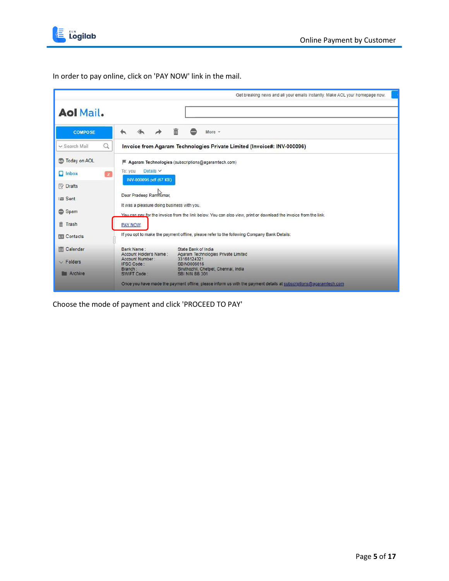

In order to pay online, click on 'PAY NOW' link in the mail.

|                                | Get breaking news and all your emails instantly. Make AOL your homepage now.                                                                                   |
|--------------------------------|----------------------------------------------------------------------------------------------------------------------------------------------------------------|
|                                |                                                                                                                                                                |
| <b>Aol Mail.</b>               |                                                                                                                                                                |
|                                |                                                                                                                                                                |
| <b>COMPOSE</b>                 | 而<br><br>More $-$                                                                                                                                              |
| Q<br>v Search Mail             | Invoice from Agaram Technologies Private Limited (Invoice#: INV-000096)                                                                                        |
| <b>Co</b> Today on AOL         | Agaram Technologies (subscriptions@agaramtech.com)                                                                                                             |
| $\Box$ Inbox<br>$\overline{2}$ | Details $\vee$<br>To: you<br>INV-000096.pdf (67 KB)                                                                                                            |
| <b>E</b> Drafts                |                                                                                                                                                                |
| Fill Sent                      | Dear Pradeep Ramkumar,                                                                                                                                         |
| Spam                           | It was a pleasure doing business with you.<br>You can pay for the invoice from the link below. You can also view, print or download the invoice from the link. |
| 而<br>Trash                     | PAY NOW.                                                                                                                                                       |
| <b>Exp</b> Contacts            | If you opt to make the payment offline, please refer to the following Company Bank Details:                                                                    |
| I Calendar                     | Bank Name:<br>State Bank of India<br>Account Holder's Name:<br>Agaram Technologies Private Limited                                                             |
| $\vee$ Folders                 | Account Number:<br>33166124321<br><b>IFSC Code:</b><br>SBIN0006616<br>Siruthozhil, Chetpet, Chennai, India<br>Branch:                                          |
| Archive                        | SBI NIN BB 301<br>SWIFT Code:                                                                                                                                  |
|                                | Once you have made the payment offline, please inform us with the payment details at subscriptions@agaramtech.com                                              |

Choose the mode of payment and click 'PROCEED TO PAY'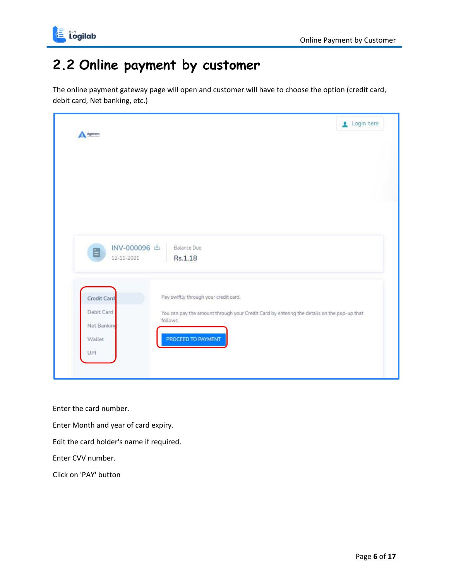

#### <span id="page-5-0"></span>**2.2 Online payment by customer**

The online payment gateway page will open and customer will have to choose the option (credit card, debit card, Net banking, etc.)



Enter the card number.

Enter Month and year of card expiry.

Edit the card holder's name if required.

Enter CVV number.

Click on 'PAY' button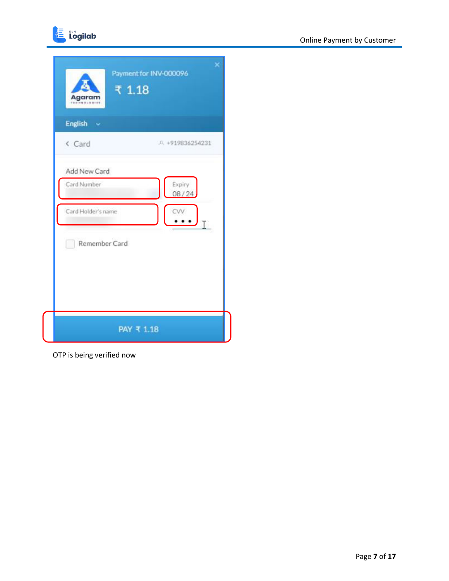

| English v          |                     |
|--------------------|---------------------|
| < Card             | $.0. +919836254231$ |
| Add New Card       |                     |
| Card Number        | Expiry<br>08/24     |
| Card Holder's name | ĊV                  |
| Remember Card<br>m |                     |

OTP is being verified now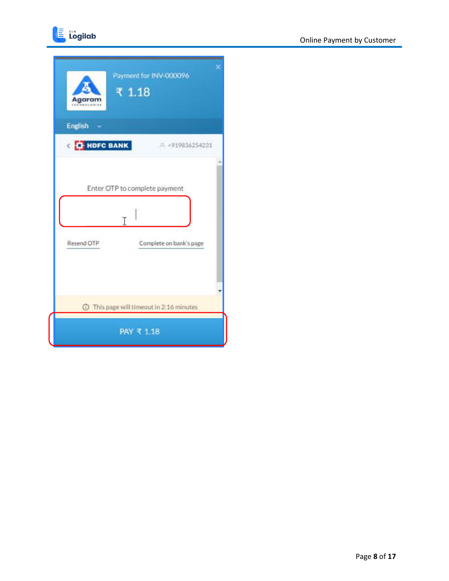



| Payment for INV-000096<br>₹ 1.18<br>Agarar  |  |
|---------------------------------------------|--|
| <b>English</b>                              |  |
| <b>CHE HDFC BANK</b><br>$.0, +919836254231$ |  |
|                                             |  |
| Enter OTP to complete payment               |  |
| T                                           |  |
| Resend OTP<br>Complete on bank's page       |  |
|                                             |  |
|                                             |  |
| This page will timeout in 2:16 minutes      |  |
| PAY ₹ 1.18                                  |  |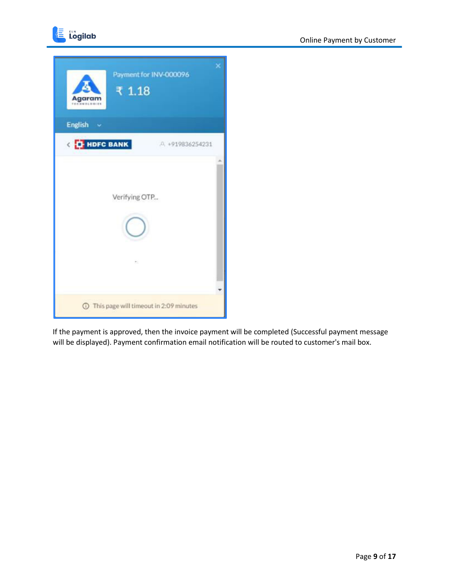

| Agaram<br>TERMINICOILE | Payment for INV-000096<br>₹ 1.18 |                                          |  |
|------------------------|----------------------------------|------------------------------------------|--|
| English v              |                                  |                                          |  |
| <b>CHE HDFC BANK</b>   |                                  | A +919836254231                          |  |
|                        | Verifying OTP                    |                                          |  |
|                        | ÷                                |                                          |  |
|                        |                                  | 1 This page will timeout in 2:09 minutes |  |

If the payment is approved, then the invoice payment will be completed (Successful payment message will be displayed). Payment confirmation email notification will be routed to customer's mail box.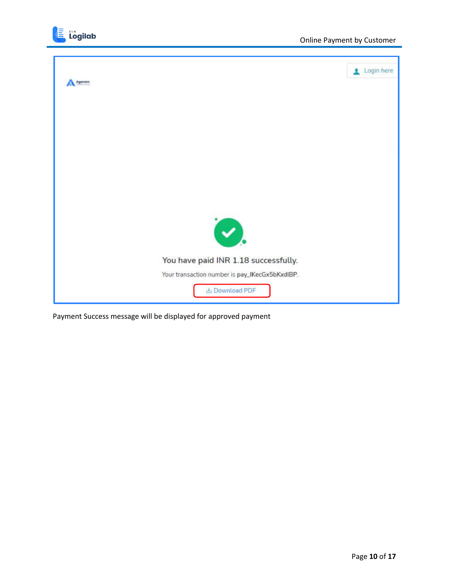



Payment Success message will be displayed for approved payment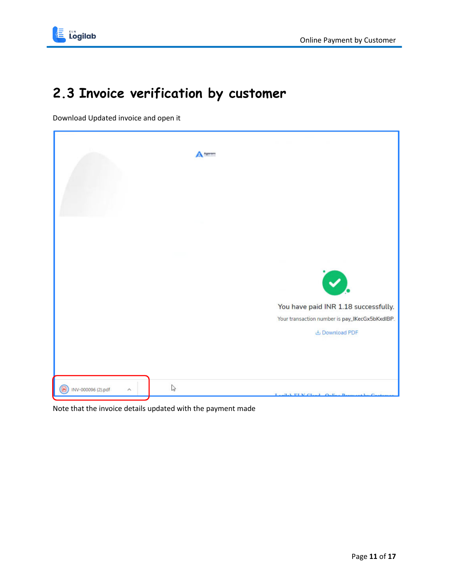

### <span id="page-10-0"></span>**2.3 Invoice verification by customer**

Download Updated invoice and open it



Note that the invoice details updated with the payment made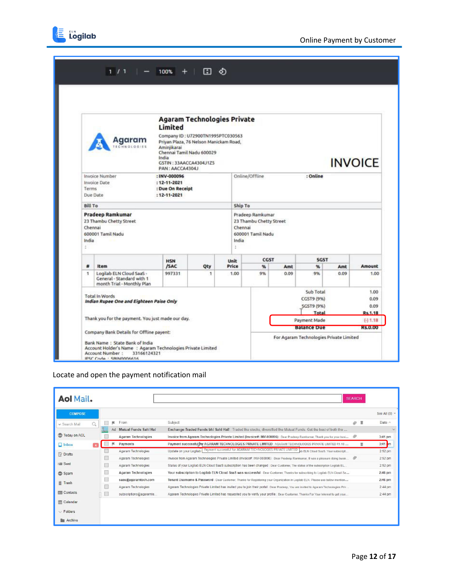



|                                                                                                                                     |                                                                                             | <b>Agaram Technologies Private</b>                                                                                                 |                     |               |                                                                        |             |                                                       |                |                                        |
|-------------------------------------------------------------------------------------------------------------------------------------|---------------------------------------------------------------------------------------------|------------------------------------------------------------------------------------------------------------------------------------|---------------------|---------------|------------------------------------------------------------------------|-------------|-------------------------------------------------------|----------------|----------------------------------------|
|                                                                                                                                     | Agaram<br>CHNOLOGIES                                                                        | Limited<br>Company ID: U72900TN1995PTC030563<br>Priyan Plaza, 76 Nelson Manickam Road,<br>Aminiikarai<br>Chennai Tamil Nadu 600029 |                     |               |                                                                        |             |                                                       |                |                                        |
|                                                                                                                                     |                                                                                             | India<br>GSTIN: 33AACCA4304J1Z5<br>PAN: AACCA4304J                                                                                 |                     |               |                                                                        |             |                                                       | <b>INVOICE</b> |                                        |
| Invoice Number<br>: INV-000096<br>Invoice Date<br>$: 12 - 11 - 2021$<br>Terms<br>: Due On Receipt<br>Due Date<br>$: 12 - 11 - 2021$ |                                                                                             |                                                                                                                                    |                     |               | Online/Offline<br>: Online                                             |             |                                                       |                |                                        |
| <b>Bill To</b>                                                                                                                      |                                                                                             |                                                                                                                                    |                     |               | Ship To                                                                |             |                                                       |                |                                        |
| Chennai<br>India<br>Đ                                                                                                               | 23 Thambu Chetty Street<br>600001 Tamil Nadu                                                |                                                                                                                                    |                     |               | 23 Thambu Chetty Street<br>Chennai<br>600001 Tamil Nadu<br>India<br>÷. |             |                                                       |                |                                        |
|                                                                                                                                     |                                                                                             | <b>HSN</b>                                                                                                                         |                     | Unit          | CGST                                                                   |             | <b>SGST</b>                                           |                |                                        |
| #<br>$\mathbf{1}$                                                                                                                   | Item<br>Logilab ELN Cloud SaaS -<br>General - Standard with 1<br>month Trial - Monthly Plan | /SAC<br>997331                                                                                                                     | Qty<br>$\mathbf{1}$ | Price<br>1.00 | %<br>9%                                                                | Amt<br>0.09 | $\%$<br>9%                                            | Amt<br>0.09    | Amount<br>1.00                         |
| <b>Total In Words</b><br>Indian Rupee One and Eighteen Paise Only                                                                   |                                                                                             |                                                                                                                                    |                     |               |                                                                        |             | Sub Total<br>CGST9 (9%)<br><b>SGST9 (9%)</b><br>Total |                | 1.00<br>0.09<br>0.09<br><b>Rs.1.18</b> |
| Thank you for the payment. You just made our day.<br>Company Bank Details for Offline payent:                                       |                                                                                             |                                                                                                                                    |                     |               |                                                                        |             | Payment Made                                          |                | $(-) 1.18$                             |
|                                                                                                                                     |                                                                                             |                                                                                                                                    |                     |               |                                                                        |             | <b>Balance Due</b>                                    |                | <b>RS.0.00</b>                         |

#### Locate and open the payment notification mail

| <b>Aol Mail.</b>          |    |                            |                                                                                                                                      | <b>SEARCH</b> |    |               |
|---------------------------|----|----------------------------|--------------------------------------------------------------------------------------------------------------------------------------|---------------|----|---------------|
| <b>COMPOSE</b>            |    |                            |                                                                                                                                      |               |    | See All (9) - |
| $\alpha$<br>v Search Mail | 麻  | From                       | Subject                                                                                                                              | $\varpi$      | 置  | Date ^        |
|                           | Ad | Mutual Funds Sahi Hai      | Exchange-Traded Funds bhi Sahi Hai! Traded like stocks, diversified like Mutual Funds: Get the best of both the                      |               |    | $\sim$        |
| Today on AOL              |    | <b>Agaram Technologies</b> | Invoice from Agaram Technologies Private Limited (Invoice#: INV-000096) : Dear Pradeep Ramkumar, Thank you for your busi             | Ô             |    | $3:41$ pm     |
| $\Box$ Inbox              |    | Payments                   | Payment successful in AGARAM TECHNOLOGIES PRIVATE LIMITED : AGARAM TECHNOLOGIES PRIVATE LIMITED ₹1.18                                |               | Ħ. | $3:41$ m      |
| <b>Py Drafts</b>          |    | Agaram Technologies        | Update on your Logilab   Payment successful for AGARAM TECHNOLOGIES PRIVATE LIMITED   ab ELN Cloud SaaS. Your subscripti             |               |    | 2:52 pm       |
|                           |    | Agaram Technologies        | Invoice from Agaram Technologies Private Limited (Invoice#: INV-000096) : Dear Pradeep Ramkumar, It was a pleasure doing busin.      |               |    | 2:52 pm       |
| <b>:画 Sent</b>            | U  | Agaram Technologies        | Status of your Logilab ELN Cloud SaaS subscription has been changed : Dear Customer, The status of the subscription Logilab EL       |               |    | 2:52 pm       |
| Spam                      | □  | <b>Agaram Technologies</b> | Your subscription to Logilab ELN Cloud SaaS was successful : Dear Customer, Thanks for subscribing to Logilab ELN Cloud Sa           |               |    | $2:46$ pm     |
| Trash                     |    | saas@agaramtech.com        | Tenant Username & Password : Dear Customer. Thanks for Registering your Organization in Logilab ELN. Please use below mention        |               |    | $2:46$ pm     |
|                           |    | Agaram Technologies        | Agaram Technologies Private Limited has invited you to join their portal : Dear Pradeep, You are invited to Agaram Technologies Priv |               |    | $2:44$ pm     |
| <b>ED</b> Contacts        |    | subscriptions@agaramte     | Agaram Technologies Private Limited has requested you to verify your profile : Dear Customer, Thanks For Your Interest to get your   |               |    | 2:44 pm       |
| 图 Calendar                |    |                            |                                                                                                                                      |               |    |               |
| $\vee$ Folders            |    |                            |                                                                                                                                      |               |    |               |
|                           |    |                            |                                                                                                                                      |               |    |               |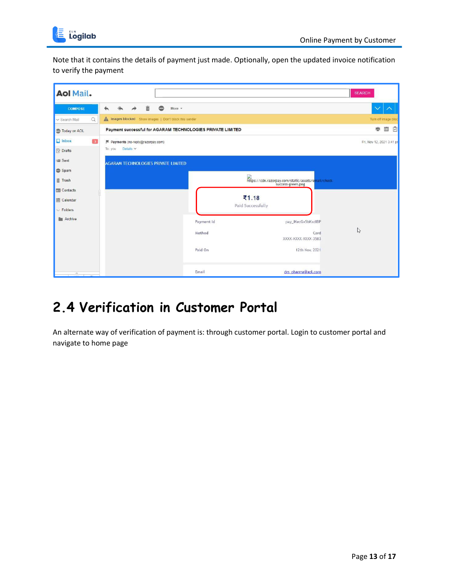

Note that it contains the details of payment just made. Optionally, open the updated invoice notification to verify the payment

| <b>Aol Mail.</b>                                  |                                                              |                      |                                                     | <b>SEARCH</b>             |
|---------------------------------------------------|--------------------------------------------------------------|----------------------|-----------------------------------------------------|---------------------------|
| <b>COMPOSE</b>                                    | 而<br><br>More $-$<br>$\leftarrow$                            |                      |                                                     | $\vee$ $\wedge$           |
| $\alpha$<br>v Search Mail                         | Images blocked Show images   Don't block this sender         |                      |                                                     | Turn off image bloc       |
| <b>Today on AOL</b>                               | Payment successful for AGARAM TECHNOLOGIES PRIVATE LIMITED   |                      |                                                     | 画<br>事<br>G               |
| $\Box$ Inbox<br>$\blacksquare$<br><b>B</b> Drafts | ■ Payments (no-reply@razorpay.com)<br>To: you Details $\vee$ |                      |                                                     | Fri, Nov 12, 2021 3:41 pr |
| im Sent<br>Spam<br><b>面 Trash</b>                 | <b>AGARAM TECHNOLOGIES PRIVATE LIMITED</b>                   |                      | https://cdn.razorpay.com/static/assets/email/check- |                           |
| 图 Contacts<br><b>图 Calendar</b><br>$\vee$ Folders |                                                              |                      | ₹1.18<br>Paid Successfully                          |                           |
| <b>E</b> Archive                                  |                                                              | Payment Id<br>Method | pay_IKecGx5bKxdIBP<br>Card<br>XXXX-XXXX-XXXX-3583   | $\mathbb{P}$              |
|                                                   |                                                              | Paid On              | 12th Nov, 2021                                      |                           |
| $\sim$                                            |                                                              | Email                | drs_pharma@aol.com                                  |                           |

#### <span id="page-12-0"></span>**2.4 Verification in Customer Portal**

An alternate way of verification of payment is: through customer portal. Login to customer portal and navigate to home page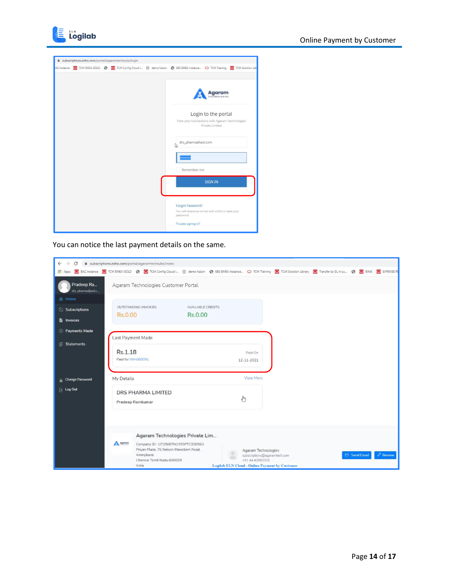



| i subscriptions.zoho.com/portal/agaramtechsubs/login |  |                                                                                                                       |
|------------------------------------------------------|--|-----------------------------------------------------------------------------------------------------------------------|
|                                                      |  | AC Instance C TCM EMEA GOLD C TCM Config Cloud I E demo fusion C EBS EMEA Instance O TCM Training C TCM Solution Libr |
|                                                      |  |                                                                                                                       |
|                                                      |  | Agaram<br>CHNOLOGIES                                                                                                  |
|                                                      |  | Login to the portal                                                                                                   |
|                                                      |  | View your transactions with Agaram Technologies<br>Private Limited                                                    |
|                                                      |  | drs_pharma@aol.com<br>▷                                                                                               |
|                                                      |  |                                                                                                                       |
|                                                      |  | Remember me                                                                                                           |
|                                                      |  | <b>SIGN IN</b>                                                                                                        |
|                                                      |  | Forgot Password?                                                                                                      |
|                                                      |  | You will receive an e-mail with a link to reset your<br>password.                                                     |
|                                                      |  | Trouble signing in?                                                                                                   |

You can notice the last payment details on the same.

| C<br>$\rightarrow$<br>$\leftarrow$ | subscriptions.zoho.com/portal/agaramtechsubs/index                                                                                                                                        |                          |                                                       |                          |
|------------------------------------|-------------------------------------------------------------------------------------------------------------------------------------------------------------------------------------------|--------------------------|-------------------------------------------------------|--------------------------|
|                                    | Apps   BAC Instance   TCM EMEA GOLD ©   TCM Config Cloud I   El demo fusion © ES EMEA Instance   O TCM Training   C TCM Solution Library   © Transfer to GL in su ©   E BIMS   EXPENSE RE |                          |                                                       |                          |
| Pradeep Ra<br>drs_pharma@aoLc      | Agaram Technologies Customer Portal                                                                                                                                                       |                          |                                                       |                          |
| <b>A</b> Home                      |                                                                                                                                                                                           |                          |                                                       |                          |
| Subscriptions                      | OUTSTANDING INVOICES                                                                                                                                                                      | <b>AVAILABLE CREDITS</b> |                                                       |                          |
| <b>E</b> Invoices                  | Rs.0.00                                                                                                                                                                                   | Rs.0.00                  |                                                       |                          |
| <b>8</b> Payments Made             |                                                                                                                                                                                           |                          |                                                       |                          |
|                                    | Last Payment Made                                                                                                                                                                         |                          |                                                       |                          |
| <b>B</b> Statements                |                                                                                                                                                                                           |                          |                                                       |                          |
|                                    | Rs.1.18                                                                                                                                                                                   |                          | Paid On                                               |                          |
|                                    | Paid for INV-000096.                                                                                                                                                                      |                          | 12-11-2021                                            |                          |
|                                    |                                                                                                                                                                                           |                          |                                                       |                          |
| <sup>2</sup> Change Password       | My Details                                                                                                                                                                                |                          | View More                                             |                          |
| $\overline{+}$ Log Out             | <b>DRS PHARMA LIMITED</b>                                                                                                                                                                 |                          |                                                       |                          |
|                                    | Pradeep Ramkumar                                                                                                                                                                          | G                        |                                                       |                          |
|                                    |                                                                                                                                                                                           |                          |                                                       |                          |
|                                    |                                                                                                                                                                                           |                          |                                                       |                          |
|                                    |                                                                                                                                                                                           |                          |                                                       |                          |
|                                    | Agaram Technologies Private Lim                                                                                                                                                           |                          |                                                       |                          |
|                                    | A Agurum<br>Company ID: U72900TN1995PTC030563                                                                                                                                             |                          |                                                       |                          |
|                                    | Priyan Plaza, 76 Nelson Manickam Road,<br>Aminjikarai                                                                                                                                     |                          | Agaram Technologies                                   | $Q$ Review<br>Send Email |
|                                    | Chennai Tamil Nadu 600029                                                                                                                                                                 |                          | subscriptions@agaramtech.com<br>+91 44 42082005       |                          |
|                                    | India                                                                                                                                                                                     |                          | <b>Logilab ELN Cloud - Online Payment by Customer</b> |                          |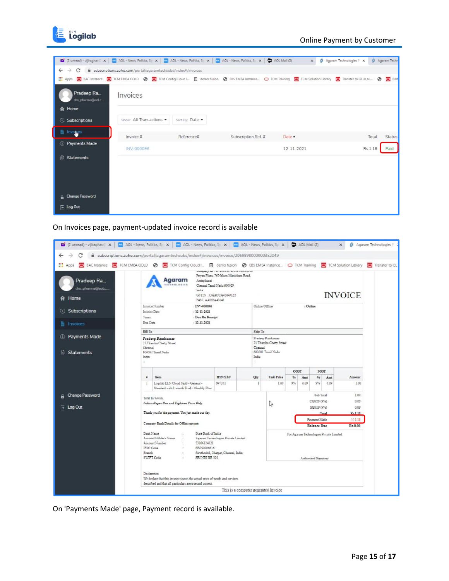

|                                    | a (2 unread) - vijiraghav E x   (2 AOL - News, Politics, Sp x   (2) AOL - News, Politics, Sp x   (2) AOL - News, Politics, Sp x   (2) AOL - News, Politics, Sp x   (2) AOL - News, Politics, Sp x   (2) |                 |                     | $\times$   |                           |                       |
|------------------------------------|---------------------------------------------------------------------------------------------------------------------------------------------------------------------------------------------------------|-----------------|---------------------|------------|---------------------------|-----------------------|
| C<br>$\leftarrow$<br>$\rightarrow$ | subscriptions.zoho.com/portal/agaramtechsubs/index#/invoices                                                                                                                                            |                 |                     |            | S Agaram Technologies P X | <b>S</b> Agaram Techn |
| <b>三</b> Apps                      | BAC Instance C TCM EMEA GOLD C TCM Config Cloud I E demo fusion C EBS EMEA Instance O TCM Training C TCM Solution Library C Transfer to GL in su C C BIM                                                |                 |                     |            |                           |                       |
| Pradeep Ra<br>drs_pharma@aoLc      | Invoices                                                                                                                                                                                                |                 |                     |            |                           |                       |
| A Home                             |                                                                                                                                                                                                         |                 |                     |            |                           |                       |
| Subscriptions                      | Show: All Transactions -                                                                                                                                                                                | Sort By: Date - |                     |            |                           |                       |
| 医<br>Invoices                      | Invoice #                                                                                                                                                                                               | Reference#      | Subscription Ref. # | Date +     | Total                     | Status                |
| <sup>3</sup> Payments Made         |                                                                                                                                                                                                         |                 |                     |            |                           |                       |
|                                    | INV-000096                                                                                                                                                                                              |                 |                     | 12-11-2021 | Rs.1.18                   | Paid                  |
| 旧<br>Statements                    |                                                                                                                                                                                                         |                 |                     |            |                           |                       |
|                                    |                                                                                                                                                                                                         |                 |                     |            |                           |                       |
|                                    |                                                                                                                                                                                                         |                 |                     |            |                           |                       |
| <sup>2</sup> Change Password       |                                                                                                                                                                                                         |                 |                     |            |                           |                       |
| $\overline{+}$ Log Out             |                                                                                                                                                                                                         |                 |                     |            |                           |                       |

On Invoices page, payment-updated invoice record is available

| 2 (2 unread) - vijiraghav ( x   m AOL - News, Politics, S <sub>P</sub> x   m AOL - News, Politics, S <sub>P</sub> x   m AOL - News, Politics, S <sub>P</sub> x   m AOL - News, Politics, S <sub>P</sub> x   m AOL - News, Politics, S <sub>P</sub> |                                                                                                                                                                                                                                                |                                                                                          |                                                                                                                                        |  |                                                                 |                   |    |                   |            |                                            | $\times$       | <b>8</b> Agaram Technologies |
|----------------------------------------------------------------------------------------------------------------------------------------------------------------------------------------------------------------------------------------------------|------------------------------------------------------------------------------------------------------------------------------------------------------------------------------------------------------------------------------------------------|------------------------------------------------------------------------------------------|----------------------------------------------------------------------------------------------------------------------------------------|--|-----------------------------------------------------------------|-------------------|----|-------------------|------------|--------------------------------------------|----------------|------------------------------|
| $\leftarrow$<br>C                                                                                                                                                                                                                                  |                                                                                                                                                                                                                                                | subscriptions.zoho.com/portal/agaramtechsubs/index#/invoices/invoice/2069898000000352049 |                                                                                                                                        |  |                                                                 |                   |    |                   |            |                                            |                |                              |
| Apps C BAC Instance C TCM EMEA GOLD C CM Config Cloud I E demo fusion C EBS EMEA Instance O TCM Training C TCM Solution Library                                                                                                                    |                                                                                                                                                                                                                                                |                                                                                          |                                                                                                                                        |  |                                                                 |                   |    |                   |            |                                            |                | Transfer to GL               |
| Pradeep Ra<br>drs_pharma@aol.c<br>Home<br>٠                                                                                                                                                                                                        |                                                                                                                                                                                                                                                | <b>Agaram</b><br>Aminikarai<br>India<br>PAN: AACCA4304J                                  | Company are a service in construction<br>Privan Plaza, 76 Nelson Manickam Road,<br>Chennai Tamil Nadu 600029<br>GSTIN: 33AACCA4304J1Z5 |  |                                                                 |                   |    |                   |            |                                            | <b>INVOICE</b> |                              |
| <b>Subscriptions</b><br>O.                                                                                                                                                                                                                         | Intoice Number<br>: INV-000096<br>Introice Data<br>$: 12 - 11 - 2021$                                                                                                                                                                          |                                                                                          |                                                                                                                                        |  | Online Office<br>: Online                                       |                   |    |                   |            |                                            |                |                              |
|                                                                                                                                                                                                                                                    | Terms                                                                                                                                                                                                                                          | : Due On Receipt                                                                         |                                                                                                                                        |  |                                                                 |                   |    |                   |            |                                            |                |                              |
| <b>Ei</b> Invoices                                                                                                                                                                                                                                 | Doe Date                                                                                                                                                                                                                                       | $: 12 - 11 - 2021$                                                                       |                                                                                                                                        |  |                                                                 |                   |    |                   |            |                                            |                |                              |
|                                                                                                                                                                                                                                                    | <b>Bill To</b>                                                                                                                                                                                                                                 |                                                                                          |                                                                                                                                        |  | Ship To                                                         |                   |    |                   |            |                                            |                |                              |
| <b>Payments Made</b><br>$\circ$                                                                                                                                                                                                                    | Pradeep Ramkumar<br>23 Thambu Chetty Street                                                                                                                                                                                                    |                                                                                          |                                                                                                                                        |  | Pradeep Ramkumar<br>23 Thambu Chetty Street                     |                   |    |                   |            |                                            |                |                              |
| <b>Statements</b><br>ß.                                                                                                                                                                                                                            | Chemai<br>600001 Tamil Nadu<br>India                                                                                                                                                                                                           |                                                                                          |                                                                                                                                        |  | Chennai<br>600001 Tamil Nadu<br>India                           |                   |    |                   |            |                                            |                |                              |
|                                                                                                                                                                                                                                                    |                                                                                                                                                                                                                                                |                                                                                          |                                                                                                                                        |  | CGST<br><b>SGST</b>                                             |                   |    |                   |            |                                            |                |                              |
|                                                                                                                                                                                                                                                    | $\equiv$                                                                                                                                                                                                                                       | Item                                                                                     | <b>HSN'SAC</b>                                                                                                                         |  | Qty                                                             | <b>Unit Price</b> | 96 | Amt               | 96         | Amt                                        | Amount         |                              |
|                                                                                                                                                                                                                                                    | Ŧ                                                                                                                                                                                                                                              | Logilab ELN Cloud SaaS - General -<br>Standard with 1 month Trial - Monthly Plan         | 997331                                                                                                                                 |  |                                                                 | 1.00              | 9% | 0.09              | 9%         | 0.09                                       | 1.00           |                              |
| <b>Change Password</b>                                                                                                                                                                                                                             |                                                                                                                                                                                                                                                |                                                                                          |                                                                                                                                        |  |                                                                 |                   |    | Sub Total<br>1.00 |            |                                            |                |                              |
|                                                                                                                                                                                                                                                    |                                                                                                                                                                                                                                                | Total In Words<br>Indian Rupee One and Eighteen Paire Only                               |                                                                                                                                        |  |                                                                 | ↳                 |    |                   | CGST9 (9%) | 0.09                                       |                |                              |
| $\overline{+}$ Log Out                                                                                                                                                                                                                             |                                                                                                                                                                                                                                                |                                                                                          |                                                                                                                                        |  |                                                                 |                   |    | SGST9 (9%)        |            | 0.09                                       |                |                              |
|                                                                                                                                                                                                                                                    | Thank you for the payment. You just made our day.                                                                                                                                                                                              |                                                                                          |                                                                                                                                        |  |                                                                 |                   |    |                   |            | R <sub>1.18</sub><br>Total<br>$( - ) 1.18$ |                |                              |
|                                                                                                                                                                                                                                                    | Company Bank Details for Offline payent:                                                                                                                                                                                                       |                                                                                          |                                                                                                                                        |  |                                                                 |                   |    | Payment Made      |            |                                            |                |                              |
|                                                                                                                                                                                                                                                    |                                                                                                                                                                                                                                                |                                                                                          |                                                                                                                                        |  | <b>Balance Due</b><br>Rs.0.00                                   |                   |    |                   |            |                                            |                |                              |
|                                                                                                                                                                                                                                                    | Bank Name<br>State Bank of India<br>Account Holder's Name<br>Agaram Technologies Private Limited<br>Account Number<br>33166124321<br>IFSC Code<br>SBDV0006616<br>Branch<br>Siruthozhil, Chetpet, Chennai, India<br>SWIFT Code<br>SBIND(BB 301) |                                                                                          |                                                                                                                                        |  | For Agaram Technologies Private Limited<br>Authorized Signatory |                   |    |                   |            |                                            |                |                              |
|                                                                                                                                                                                                                                                    | Declaration<br>We declare that this invoice shows the actual price of goods and services<br>described and that all particulars are true and correct.<br>This is a computer generated Invoice                                                   |                                                                                          |                                                                                                                                        |  |                                                                 |                   |    |                   |            |                                            |                |                              |

On 'Payments Made' page, Payment record is available.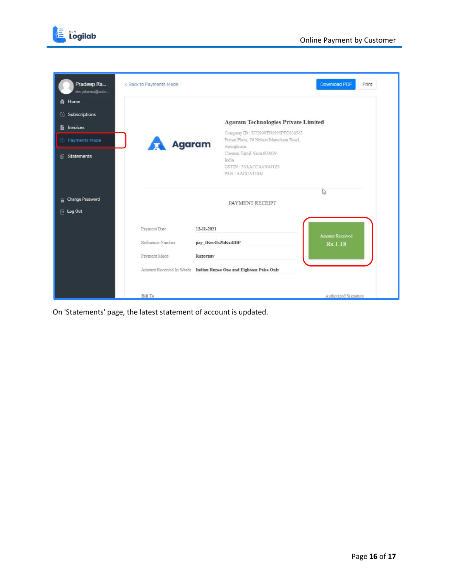



| Pradeep Ra<br>drs_pharma@aoLc    | < Back to Payments Made |                                                                                 | <b>Download PDF</b><br>Print |
|----------------------------------|-------------------------|---------------------------------------------------------------------------------|------------------------------|
| Home                             |                         |                                                                                 |                              |
| <b>Subscriptions</b><br>$\omega$ |                         | <b>Agaram Technologies Private Limited</b>                                      |                              |
| Invoices<br>B                    |                         | Company ID: U72900TN1995PTC030563                                               |                              |
| <b>Payments Made</b><br>Γs       | <b>Agaram</b>           | Priyan Plaza, 76 Nelson Manickam Road,<br>Aminjikarai                           |                              |
| <b>B</b> Statements              |                         | Chennai Tamil Nadu 600029<br>India<br>GSTIN: 33AACCA4304J1Z5<br>PAN: AACCA4304J |                              |
| <b>Change Password</b><br>A      |                         | PAYMENT RECEIPT                                                                 | $\mathbb{Z}$                 |
| $\overline{+}$ Log Out           |                         |                                                                                 |                              |
|                                  | Payment Date            | 12-11-2021                                                                      | <b>Amount Received</b>       |
|                                  | Reference Number        | pay IKecGx5bKxdIBP                                                              | Rs.1.18                      |
|                                  | Payment Mode            | Razorpay                                                                        |                              |
|                                  |                         | Amount Received In Words Indian Rupee One and Eighteen Paise Only               |                              |
|                                  |                         |                                                                                 |                              |
|                                  | <b>Bill To</b>          |                                                                                 | Authorized Signature         |

On 'Statements' page, the latest statement of account is updated.